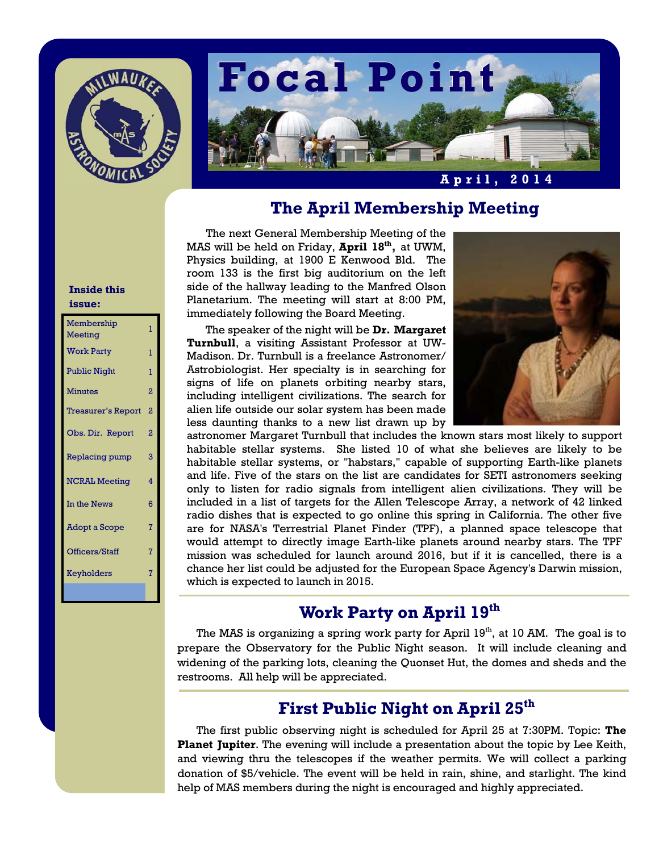



## **The April Membership Meeting**

The next General Membership Meeting of the MAS will be held on Friday, **April 18th,** at UWM, Physics building, at 1900 E Kenwood Bld. The room 133 is the first big auditorium on the left side of the hallway leading to the Manfred Olson Planetarium. The meeting will start at 8:00 PM, immediately following the Board Meeting.

 The speaker of the night will be **Dr. Margaret Turnbull**, a visiting Assistant Professor at UW-Madison. Dr. Turnbull is a freelance Astronomer/ Astrobiologist. Her specialty is in searching for signs of life on planets orbiting nearby stars, including intelligent civilizations. The search for alien life outside our solar system has been made less daunting thanks to a new list drawn up by



astronomer Margaret Turnbull that includes the known stars most likely to support habitable stellar systems. She listed 10 of what she believes are likely to be habitable stellar systems, or "habstars," capable of supporting Earth-like planets and life. Five of the stars on the list are candidates for SETI astronomers seeking only to listen for radio signals from intelligent alien civilizations. They will be included in a list of targets for the Allen Telescope Array, a network of 42 linked radio dishes that is expected to go online this spring in California. The other five are for NASA's Terrestrial Planet Finder (TPF), a planned space telescope that would attempt to directly image Earth-like planets around nearby stars. The TPF mission was scheduled for launch around 2016, but if it is cancelled, there is a chance her list could be adjusted for the European Space Agency's Darwin mission, which is expected to launch in 2015.

# **Work Party on April 19th**

The MAS is organizing a spring work party for April 19<sup>th</sup>, at 10 AM. The goal is to prepare the Observatory for the Public Night season. It will include cleaning and widening of the parking lots, cleaning the Quonset Hut, the domes and sheds and the restrooms. All help will be appreciated.

# **First Public Night on April 25th**

The first public observing night is scheduled for April 25 at 7:30PM. Topic: **The Planet Jupiter**. The evening will include a presentation about the topic by Lee Keith, and viewing thru the telescopes if the weather permits. We will collect a parking donation of \$5/vehicle. The event will be held in rain, shine, and starlight. The kind help of MAS members during the night is encouraged and highly appreciated.

## **Inside this issue:**

| Membership<br>Meeting     | ī              |
|---------------------------|----------------|
| <b>Work Party</b>         | ī              |
| <b>Public Night</b>       | ı              |
| <b>Minutes</b>            | 2              |
| <b>Treasurer's Report</b> | 2              |
| Obs. Dir. Report          | 2              |
| Replacing pump            | 3              |
| <b>NCRAL Meeting</b>      | 4              |
| In the News               | 6              |
| <b>Adopt a Scope</b>      | $\overline{7}$ |
| Officers/Staff            | 7              |
| Keyholders                | $\overline{7}$ |
|                           |                |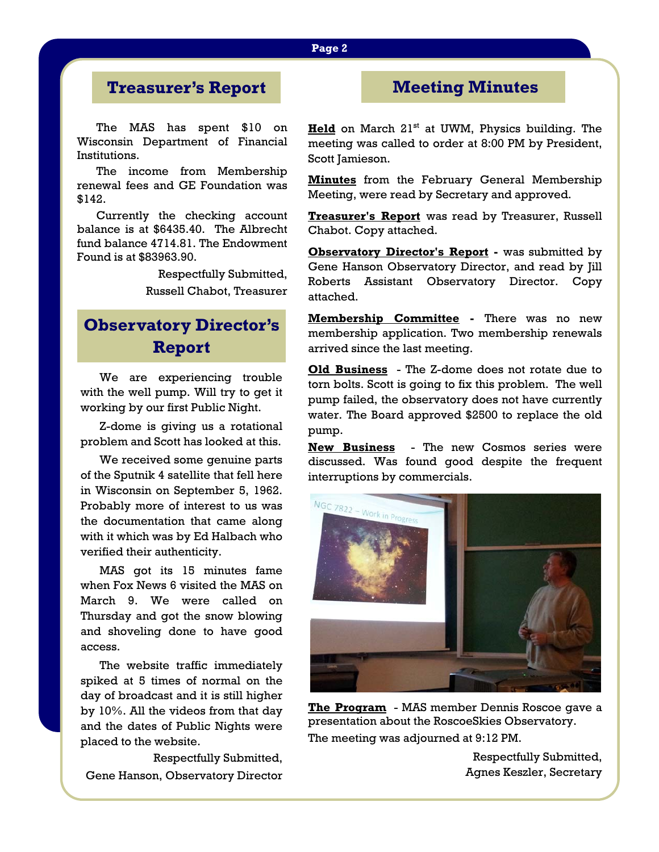# **Treasurer's Report**

The MAS has spent \$10 on Wisconsin Department of Financial Institutions.

 The income from Membership renewal fees and GE Foundation was \$142.

 Currently the checking account balance is at \$6435.40. The Albrecht fund balance 4714.81. The Endowment Found is at \$83963.90.

> Respectfully Submitted, Russell Chabot, Treasurer

# **Observatory Director's Report**

 We are experiencing trouble with the well pump. Will try to get it working by our first Public Night.

 Z-dome is giving us a rotational problem and Scott has looked at this.

 We received some genuine parts of the Sputnik 4 satellite that fell here in Wisconsin on September 5, 1962. Probably more of interest to us was the documentation that came along with it which was by Ed Halbach who verified their authenticity.

 MAS got its 15 minutes fame when Fox News 6 visited the MAS on March 9. We were called on Thursday and got the snow blowing and shoveling done to have good access.

 The website traffic immediately spiked at 5 times of normal on the day of broadcast and it is still higher by 10%. All the videos from that day and the dates of Public Nights were placed to the website.

 Respectfully Submitted, Gene Hanson, Observatory Director

## **Meeting Minutes**

**Held** on March 21<sup>st</sup> at UWM, Physics building. The meeting was called to order at 8:00 PM by President, Scott Jamieson.

**Minutes** from the February General Membership Meeting, were read by Secretary and approved.

**Treasurer's Report** was read by Treasurer, Russell Chabot. Copy attached.

**Observatory Director's Report -** was submitted by Gene Hanson Observatory Director, and read by Jill Roberts Assistant Observatory Director. Copy attached.

**Membership Committee -** There was no new membership application. Two membership renewals arrived since the last meeting.

**Old Business** - The Z-dome does not rotate due to torn bolts. Scott is going to fix this problem. The well pump failed, the observatory does not have currently water. The Board approved \$2500 to replace the old pump.

**New Business** - The new Cosmos series were discussed. Was found good despite the frequent interruptions by commercials.



**The Program** - MAS member Dennis Roscoe gave a presentation about the RoscoeSkies Observatory. The meeting was adjourned at 9:12 PM.

Respectfully Submitted, Agnes Keszler, Secretary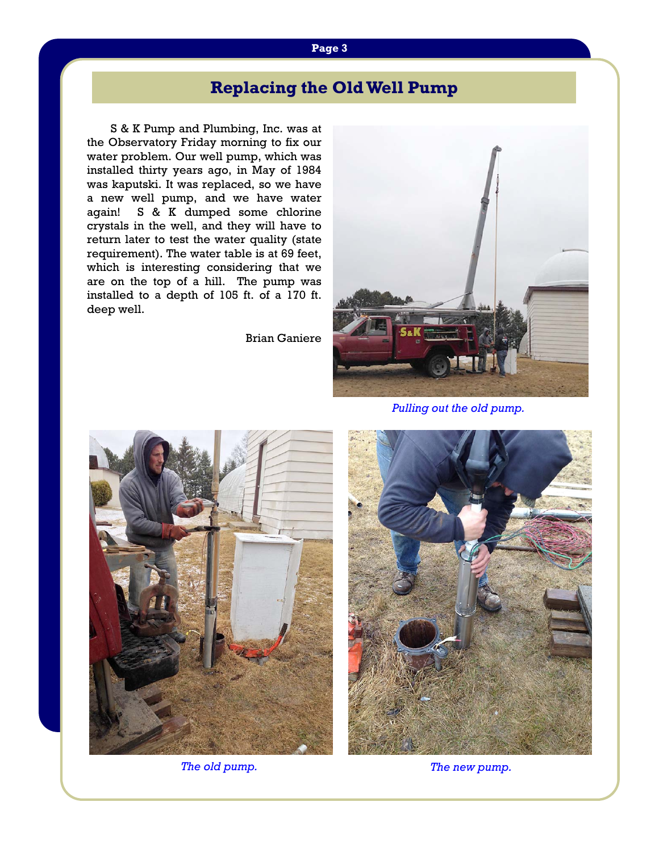# **Replacing the Old Well Pump**

S & K Pump and Plumbing, Inc. was at the Observatory Friday morning to fix our water problem. Our well pump, which was installed thirty years ago, in May of 1984 was kaputski. It was replaced, so we have a new well pump, and we have water again! S & K dumped some chlorine crystals in the well, and they will have to return later to test the water quality (state requirement). The water table is at 69 feet, which is interesting considering that we are on the top of a hill. The pump was installed to a depth of 105 ft. of a 170 ft. deep well.

Brian Ganiere



*Pulling out the old pump.*



*The old pump. The new pump.*

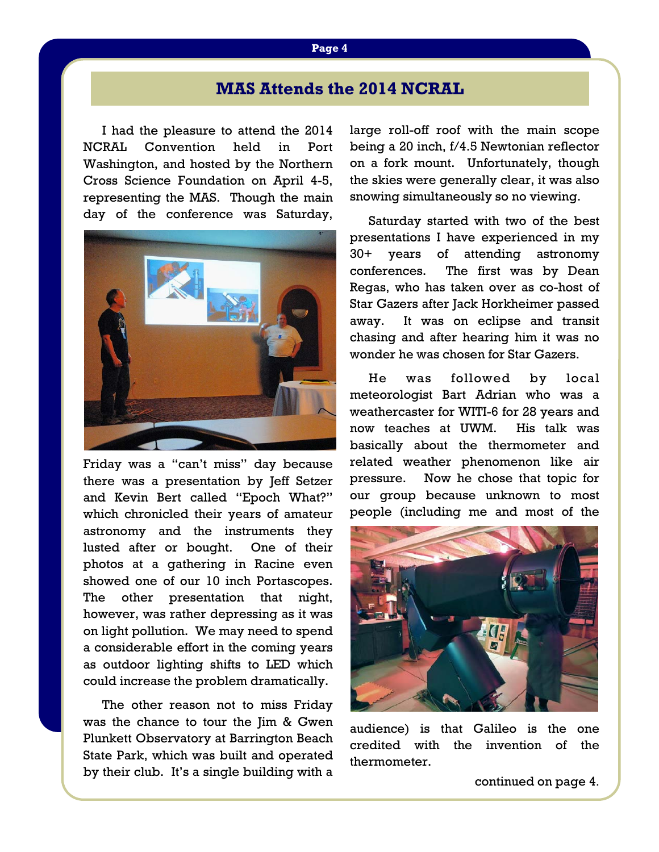# **MAS Attends the 2014 NCRAL**

I had the pleasure to attend the 2014 NCRAL Convention held in Port Washington, and hosted by the Northern Cross Science Foundation on April 4-5, representing the MAS. Though the main day of the conference was Saturday,



Friday was a "can't miss" day because there was a presentation by Jeff Setzer and Kevin Bert called "Epoch What?" which chronicled their years of amateur astronomy and the instruments they lusted after or bought. One of their photos at a gathering in Racine even showed one of our 10 inch Portascopes. The other presentation that night, however, was rather depressing as it was on light pollution. We may need to spend a considerable effort in the coming years as outdoor lighting shifts to LED which could increase the problem dramatically.

 The other reason not to miss Friday was the chance to tour the Jim & Gwen Plunkett Observatory at Barrington Beach State Park, which was built and operated by their club. It's a single building with a large roll-off roof with the main scope being a 20 inch, f/4.5 Newtonian reflector on a fork mount. Unfortunately, though the skies were generally clear, it was also snowing simultaneously so no viewing.

 Saturday started with two of the best presentations I have experienced in my 30+ years of attending astronomy conferences. The first was by Dean Regas, who has taken over as co-host of Star Gazers after Jack Horkheimer passed away. It was on eclipse and transit chasing and after hearing him it was no wonder he was chosen for Star Gazers.

He was followed by local meteorologist Bart Adrian who was a weathercaster for WITI-6 for 28 years and now teaches at UWM. His talk was basically about the thermometer and related weather phenomenon like air pressure. Now he chose that topic for our group because unknown to most people (including me and most of the



audience) is that Galileo is the one credited with the invention of the thermometer.

continued on page 4.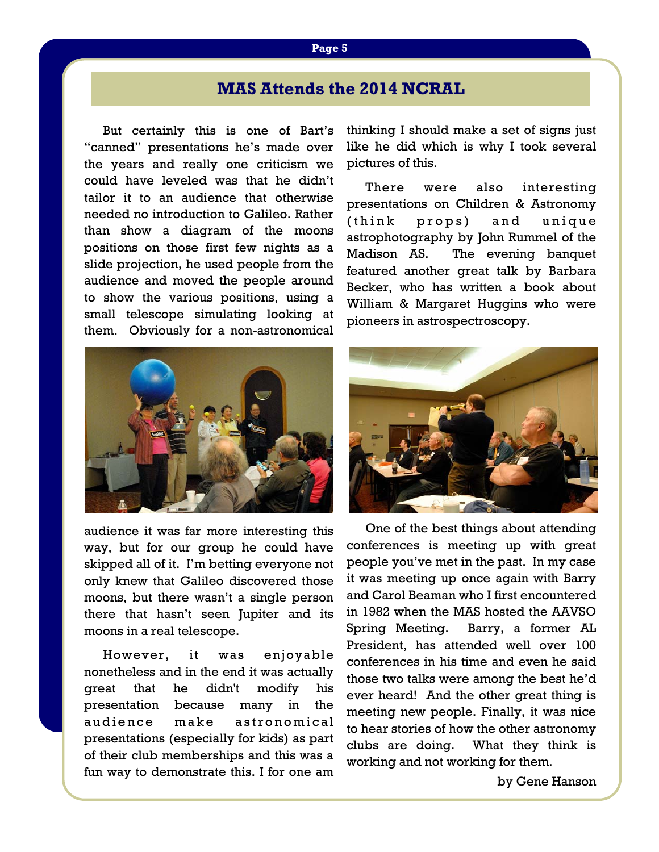# **MAS Attends the 2014 NCRAL**

 But certainly this is one of Bart's "canned" presentations he's made over the years and really one criticism we could have leveled was that he didn't tailor it to an audience that otherwise needed no introduction to Galileo. Rather than show a diagram of the moons positions on those first few nights as a slide projection, he used people from the audience and moved the people around to show the various positions, using a small telescope simulating looking at them. Obviously for a non-astronomical



audience it was far more interesting this way, but for our group he could have skipped all of it. I'm betting everyone not only knew that Galileo discovered those moons, but there wasn't a single person there that hasn't seen Jupiter and its moons in a real telescope.

 However, it was enjoyable nonetheless and in the end it was actually great that he didn't modify his presentation because many in the audience make astronomical presentations (especially for kids) as part of their club memberships and this was a fun way to demonstrate this. I for one am thinking I should make a set of signs just like he did which is why I took several pictures of this.

 There were also interesting presentations on Children & Astronomy (think props) and unique astrophotography by John Rummel of the Madison AS. The evening banquet featured another great talk by Barbara Becker, who has written a book about William & Margaret Huggins who were pioneers in astrospectroscopy.



 One of the best things about attending conferences is meeting up with great people you've met in the past. In my case it was meeting up once again with Barry and Carol Beaman who I first encountered in 1982 when the MAS hosted the AAVSO Spring Meeting. Barry, a former AL President, has attended well over 100 conferences in his time and even he said those two talks were among the best he'd ever heard! And the other great thing is meeting new people. Finally, it was nice to hear stories of how the other astronomy clubs are doing. What they think is working and not working for them.

by Gene Hanson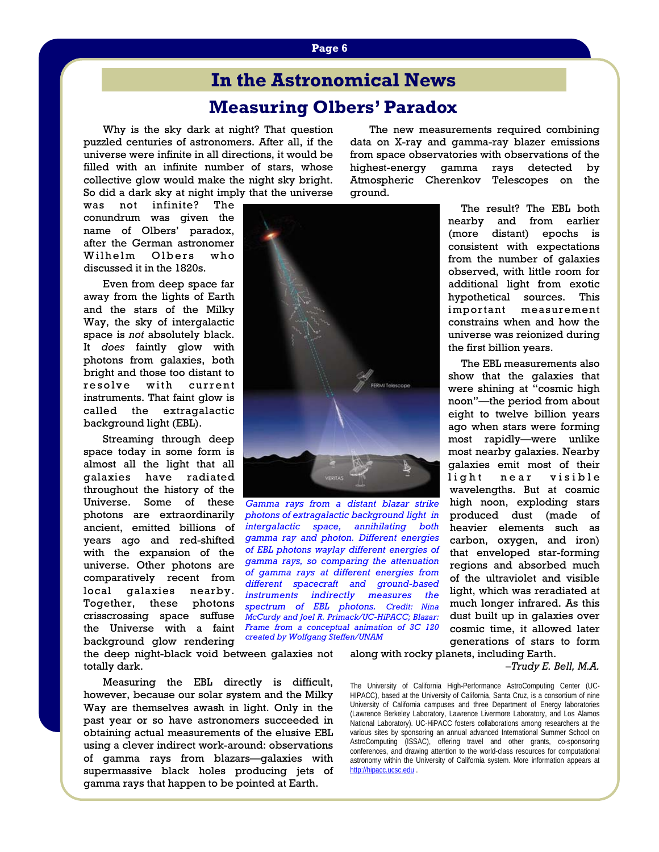# **Measuring Olbers' Paradox In the Astronomical News**

 Why is the sky dark at night? That question puzzled centuries of astronomers. After all, if the universe were infinite in all directions, it would be filled with an infinite number of stars, whose collective glow would make the night sky bright. So did a dark sky at night imply that the universe

was not infinite? The conundrum was given the name of Olbers' paradox, after the German astronomer Wilhelm Olbers who discussed it in the 1820s.

 Even from deep space far away from the lights of Earth and the stars of the Milky Way, the sky of intergalactic space is *not* absolutely black. It *does* faintly glow with photons from galaxies, both bright and those too distant to resolve with current instruments. That faint glow is called the extragalactic background light (EBL).

 Streaming through deep space today in some form is almost all the light that all galaxies have radiated throughout the history of the Universe. Some of these photons are extraordinarily ancient, emitted billions of years ago and red-shifted with the expansion of the universe. Other photons are comparatively recent from local galaxies nearby. Together, these photons crisscrossing space suffuse the Universe with a faint background glow rendering

the deep night-black void between galaxies not totally dark.

 Measuring the EBL directly is difficult, however, because our solar system and the Milky Way are themselves awash in light. Only in the past year or so have astronomers succeeded in obtaining actual measurements of the elusive EBL using a clever indirect work-around: observations of gamma rays from blazars—galaxies with supermassive black holes producing jets of gamma rays that happen to be pointed at Earth.

 The new measurements required combining data on X-ray and gamma-ray blazer emissions from space observatories with observations of the highest-energy gamma rays detected by Atmospheric Cherenkov Telescopes on the ground.

> The result? The EBL both nearby and from earlier (more distant) epochs is consistent with expectations from the number of galaxies observed, with little room for additional light from exotic hypothetical sources. This important measurement constrains when and how the universe was reionized during the first billion years.

> The EBL measurements also show that the galaxies that were shining at "cosmic high noon"—the period from about eight to twelve billion years ago when stars were forming most rapidly—were unlike most nearby galaxies. Nearby galaxies emit most of their light near visible wavelengths. But at cosmic high noon, exploding stars produced dust (made of heavier elements such as carbon, oxygen, and iron) that enveloped star-forming regions and absorbed much of the ultraviolet and visible light, which was reradiated at much longer infrared. As this dust built up in galaxies over cosmic time, it allowed later generations of stars to form

#### *–Trudy E. Bell, M.A.*

The University of California High-Performance AstroComputing Center (UC-HIPACC), based at the University of California, Santa Cruz, is a consortium of nine University of California campuses and three Department of Energy laboratories (Lawrence Berkeley Laboratory, Lawrence Livermore Laboratory, and Los Alamos National Laboratory). UC-HiPACC fosters collaborations among researchers at the various sites by sponsoring an annual advanced International Summer School on AstroComputing (ISSAC), offering travel and other grants, co-sponsoring conferences, and drawing attention to the world-class resources for computational astronomy within the University of California system. More information appears at http://hipacc.ucsc.edu .



*created by Wolfgang Steffen/UNAM*

along with rocky planets, including Earth. *Gamma rays from a distant blazar strike photons of extragalactic background light in intergalactic space, annihilating both gamma ray and photon. Different energies of EBL photons waylay different energies of gamma rays, so comparing the attenuation of gamma rays at different energies from different spacecraft and ground-based instruments indirectly measures the spectrum of EBL photons. Credit: Nina McCurdy and Joel R. Primack/UC-HiPACC; Blazar: Frame from a conceptual animation of 3C 120* 

#### **Page 6**